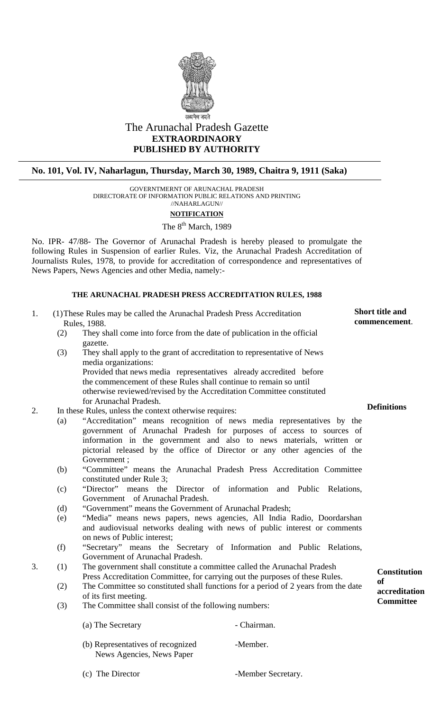

# The Arunachal Pradesh Gazette **EXTRAORDINAORY PUBLISHED BY AUTHORITY**

## **No. 101, Vol. IV, Naharlagun, Thursday, March 30, 1989, Chaitra 9, 1911 (Saka)**

GOVERNTMERNT OF ARUNACHAL PRADESH DIRECTORATE OF INFORMATION PUBLIC RELATIONS AND PRINTING //NAHARLAGUN//

## **NOTIFICATION**

## The 8<sup>th</sup> March, 1989

No. IPR- 47/88- The Governor of Arunachal Pradesh is hereby pleased to promulgate the following Rules in Suspension of earlier Rules. Viz, the Arunachal Pradesh Accreditation of Journalists Rules, 1978, to provide for accreditation of correspondence and representatives of News Papers, News Agencies and other Media, namely:-

### **THE ARUNACHAL PRADESH PRESS ACCREDITATION RULES, 1988**

- 1. (1) These Rules may be called the Arunachal Pradesh Press Accreditation **Short title and**<br>Rules 1988 **commencement**. Rules, 1988.
	- (2) They shall come into force from the date of publication in the official gazette.
- (3) They shall apply to the grant of accreditation to representative of News media organizations: Provided that news media representatives already accredited before the commencement of these Rules shall continue to remain so until otherwise reviewed/revised by the Accreditation Committee constituted for Arunachal Pradesh. **Definitions** 2. In these Rules, unless the context otherwise requires:
- - (a) "Accreditation" means recognition of news media representatives by the government of Arunachal Pradesh for purposes of access to sources of information in the government and also to news materials, written or pictorial released by the office of Director or any other agencies of the Government ;
	- (b) "Committee" means the Arunachal Pradesh Press Accreditation Committee constituted under Rule 3;
	- (c) "Director" means the Director of information and Public Relations, Government of Arunachal Pradesh.
	- (d) "Government" means the Government of Arunachal Pradesh;
	- (e) "Media" means news papers, news agencies, All India Radio, Doordarshan and audiovisual networks dealing with news of public interest or comments on news of Public interest;
	- (f) "Secretary" means the Secretary of Information and Public Relations, Government of Arunachal Pradesh.
- 3. (1) The government shall constitute a committee called the Arunachal Pradesh Press Accreditation Committee, for carrying out the purposes of these Rules. **Constitution**
	- (2) The Committee so constituted shall functions for a period of 2 years from the date of its first meeting.
	- (3) The Committee shall consist of the following numbers:

(a) The Secretary - Chairman.

(b) Representatives of recognized -Member. News Agencies, News Paper

**Short title and** 

**of accreditation Committee**

(c) The Director -Member Secretary.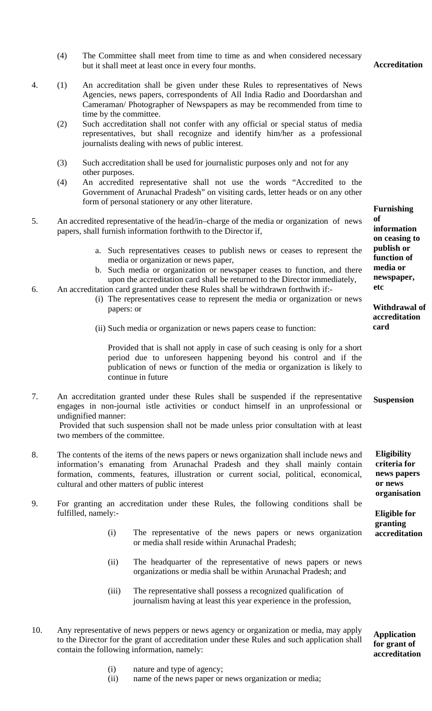(4) The Committee shall meet from time to time as and when considered necessary but it shall meet at least once in every four months. **Accreditation** 

- 4. (1) An accreditation shall be given under these Rules to representatives of News Agencies, news papers, correspondents of All India Radio and Doordarshan and Cameraman/ Photographer of Newspapers as may be recommended from time to time by the committee.
	- (2) Such accreditation shall not confer with any official or special status of media representatives, but shall recognize and identify him/her as a professional journalists dealing with news of public interest.
	- (3) Such accreditation shall be used for journalistic purposes only and not for any other purposes.
	- (4) An accredited representative shall not use the words "Accredited to the Government of Arunachal Pradesh" on visiting cards, letter heads or on any other form of personal stationery or any other literature. **Furnishing**
- 5. An accredited representative of the head/in–charge of the media or organization of news papers, shall furnish information forthwith to the Director if,
	- a. Such representatives ceases to publish news or ceases to represent the media or organization or news paper,
	- b. Such media or organization or newspaper ceases to function, and there upon the accreditation card shall be returned to the Director immediately,
- 6. An accreditation card granted under these Rules shall be withdrawn forthwith if:-
	- (i) The representatives cease to represent the media or organization or news papers: or
	- (ii) Such media or organization or news papers cease to function:

Provided that is shall not apply in case of such ceasing is only for a short period due to unforeseen happening beyond his control and if the publication of news or function of the media or organization is likely to continue in future

- 7. An accreditation granted under these Rules shall be suspended if the representative engages in non-journal istle activities or conduct himself in an unprofessional or undignified manner: Provided that such suspension shall not be made unless prior consultation with at least two members of the committee. **Suspension**
- 8. The contents of the items of the news papers or news organization shall include news and information's emanating from Arunachal Pradesh and they shall mainly contain formation, comments, features, illustration or current social, political, economical, cultural and other matters of public interest
- 9. For granting an accreditation under these Rules, the following conditions shall be fulfilled, namely:-
	- (i) The representative of the news papers or news organization or media shall reside within Arunachal Pradesh;
	- (ii) The headquarter of the representative of news papers or news organizations or media shall be within Arunachal Pradesh; and
	- (iii) The representative shall possess a recognized qualification of journalism having at least this year experience in the profession,
- 10. Any representative of news peppers or news agency or organization or media, may apply to the Director for the grant of accreditation under these Rules and such application shall contain the following information, namely:

**of information on ceasing to publish or function of media or newspaper, etc** 

> **Withdrawal of accreditation card**

**Eligibility criteria for news papers or news organisation**

**Eligible for granting accreditation** 

**Application for grant of accreditation** 

- (i) nature and type of agency;
- (ii) name of the news paper or news organization or media;